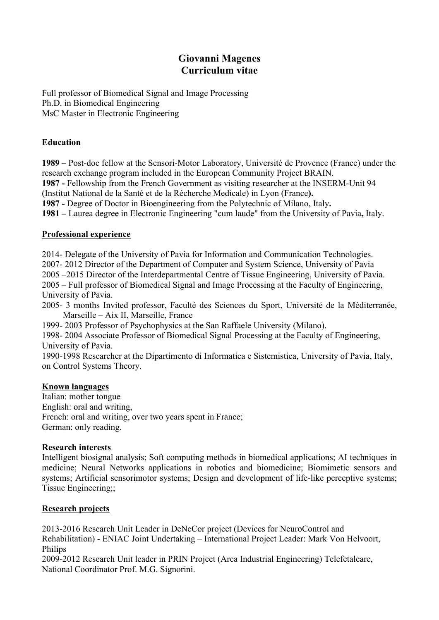# **Giovanni Magenes Curriculum vitae**

Full professor of Biomedical Signal and Image Processing Ph.D. in Biomedical Engineering MsC Master in Electronic Engineering

## **Education**

**1989 –** Post-doc fellow at the Sensori-Motor Laboratory, Université de Provence (France) under the research exchange program included in the European Community Project BRAIN. **1987 -** Fellowship from the French Government as visiting researcher at the INSERM-Unit 94 (Institut National de la Santé et de la Récherche Medicale) in Lyon (France**). 1987 -** Degree of Doctor in Bioengineering from the Polytechnic of Milano, Italy**. 1981 –** Laurea degree in Electronic Engineering "cum laude" from the University of Pavia**,** Italy.

### **Professional experience**

2014- Delegate of the University of Pavia for Information and Communication Technologies. 2007- 2012 Director of the Department of Computer and System Science, University of Pavia 2005 –2015 Director of the Interdepartmental Centre of Tissue Engineering, University of Pavia. 2005 – Full professor of Biomedical Signal and Image Processing at the Faculty of Engineering, University of Pavia.

2005- 3 months Invited professor, Faculté des Sciences du Sport, Université de la Méditerranée, Marseille – Aix II, Marseille, France

1999- 2003 Professor of Psychophysics at the San Raffaele University (Milano).

1998- 2004 Associate Professor of Biomedical Signal Processing at the Faculty of Engineering, University of Pavia.

1990-1998 Researcher at the Dipartimento di Informatica e Sistemistica, University of Pavia, Italy, on Control Systems Theory.

### **Known languages**

Italian: mother tongue English: oral and writing, French: oral and writing, over two years spent in France; German: only reading.

#### **Research interests**

Intelligent biosignal analysis; Soft computing methods in biomedical applications; AI techniques in medicine; Neural Networks applications in robotics and biomedicine; Biomimetic sensors and systems; Artificial sensorimotor systems; Design and development of life-like perceptive systems; Tissue Engineering;;

### **Research projects**

2013-2016 Research Unit Leader in DeNeCor project (Devices for NeuroControl and Rehabilitation) - ENIAC Joint Undertaking – International Project Leader: Mark Von Helvoort, Philips

2009-2012 Research Unit leader in PRIN Project (Area Industrial Engineering) Telefetalcare, National Coordinator Prof. M.G. Signorini.